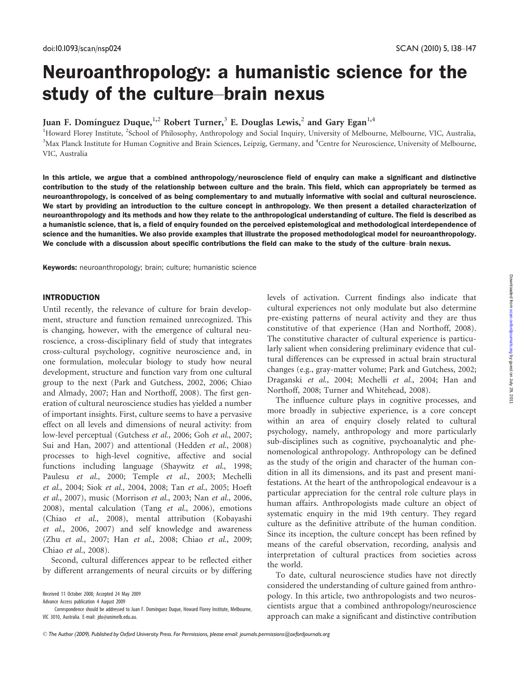# Neuroanthropology: a humanistic science for the study of the culture–brain nexus

# Juan F. Domínguez Duque,<sup>1,2</sup> Robert Turner,<sup>3</sup> E. Douglas Lewis,<sup>2</sup> and Gary Egan<sup>1,4</sup>

<sup>1</sup>Howard Florey Institute, <sup>2</sup>School of Philosophy, Anthropology and Social Inquiry, University of Melbourne, Melbourne, VIC, Australia, <sup>3</sup>Max Planck Institute for Human Cognitive and Brain Sciences, Leipzig, Germany, and <sup>4</sup>Centre for Neuroscience, University of Melbourne, VIC, Australia

In this article, we argue that a combined anthropology/neuroscience field of enquiry can make a significant and distinctive contribution to the study of the relationship between culture and the brain. This field, which can appropriately be termed as neuroanthropology, is conceived of as being complementary to and mutually informative with social and cultural neuroscience. We start by providing an introduction to the culture concept in anthropology. We then present a detailed characterization of neuroanthropology and its methods and how they relate to the anthropological understanding of culture. The field is described as a humanistic science, that is, a field of enquiry founded on the perceived epistemological and methodological interdependence of science and the humanities. We also provide examples that illustrate the proposed methodological model for neuroanthropology. We conclude with a discussion about specific contributions the field can make to the study of the culture–brain nexus.

Keywords: neuroanthropology; brain; culture; humanistic science

### INTRODUCTION

Until recently, the relevance of culture for brain development, structure and function remained unrecognized. This is changing, however, with the emergence of cultural neuroscience, a cross-disciplinary field of study that integrates cross-cultural psychology, cognitive neuroscience and, in one formulation, molecular biology to study how neural development, structure and function vary from one cultural group to the next (Park and Gutchess, 2002, 2006; Chiao and Almady, 2007; Han and Northoff, 2008). The first generation of cultural neuroscience studies has yielded a number of important insights. First, culture seems to have a pervasive effect on all levels and dimensions of neural activity: from low-level perceptual (Gutchess et al., 2006; Goh et al., 2007; Sui and Han, 2007) and attentional (Hedden et al., 2008) processes to high-level cognitive, affective and social functions including language (Shaywitz et al., 1998; Paulesu et al., 2000; Temple et al., 2003; Mechelli et al., 2004; Siok et al., 2004, 2008; Tan et al., 2005; Hoeft et al., 2007), music (Morrison et al., 2003; Nan et al., 2006, 2008), mental calculation (Tang et al., 2006), emotions (Chiao et al., 2008), mental attribution (Kobayashi et al., 2006, 2007) and self knowledge and awareness (Zhu et al., 2007; Han et al., 2008; Chiao et al., 2009; Chiao et al., 2008).

Second, cultural differences appear to be reflected either by different arrangements of neural circuits or by differing

levels of activation. Current findings also indicate that cultural experiences not only modulate but also determine pre-existing patterns of neural activity and they are thus constitutive of that experience (Han and Northoff, 2008). The constitutive character of cultural experience is particularly salient when considering preliminary evidence that cultural differences can be expressed in actual brain structural changes (e.g., gray-matter volume; Park and Gutchess, 2002; Draganski et al., 2004; Mechelli et al., 2004; Han and Northoff, 2008; Turner and Whitehead, 2008).

The influence culture plays in cognitive processes, and more broadly in subjective experience, is a core concept within an area of enquiry closely related to cultural psychology, namely, anthropology and more particularly sub-disciplines such as cognitive, psychoanalytic and phenomenological anthropology. Anthropology can be defined as the study of the origin and character of the human condition in all its dimensions, and its past and present manifestations. At the heart of the anthropological endeavour is a particular appreciation for the central role culture plays in human affairs. Anthropologists made culture an object of systematic enquiry in the mid 19th century. They regard culture as the definitive attribute of the human condition. Since its inception, the culture concept has been refined by means of the careful observation, recording, analysis and interpretation of cultural practices from societies across the world.

To date, cultural neuroscience studies have not directly considered the understanding of culture gained from anthropology. In this article, two anthropologists and two neuroscientists argue that a combined anthropology/neuroscience approach can make a significant and distinctive contribution

Received 11 October 2008; Accepted 24 May 2009

Advance Access publication 4 August 2009

Correspondence should be addressed to Juan F. Dominguez Duque, Howard Florey Institute, Melbourne, VIC 3010, Australia. E-mail: jdo@unimelb.edu.au.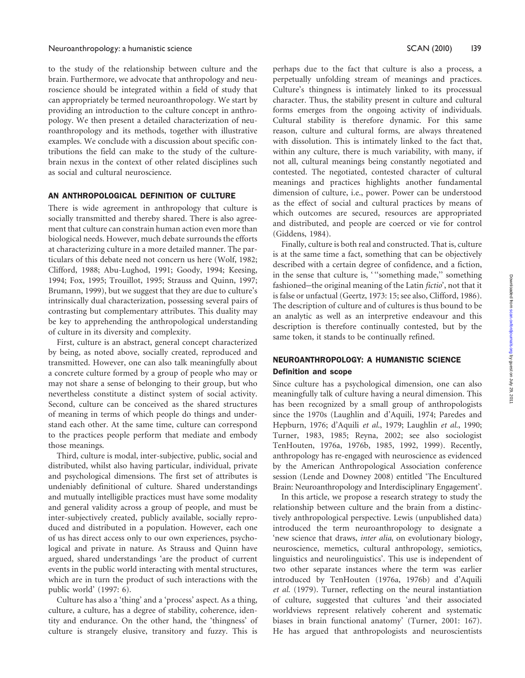to the study of the relationship between culture and the brain. Furthermore, we advocate that anthropology and neuroscience should be integrated within a field of study that can appropriately be termed neuroanthropology. We start by providing an introduction to the culture concept in anthropology. We then present a detailed characterization of neuroanthropology and its methods, together with illustrative examples. We conclude with a discussion about specific contributions the field can make to the study of the culturebrain nexus in the context of other related disciplines such as social and cultural neuroscience.

# AN ANTHROPOLOGICAL DEFINITION OF CULTURE

There is wide agreement in anthropology that culture is socially transmitted and thereby shared. There is also agreement that culture can constrain human action even more than biological needs. However, much debate surrounds the efforts at characterizing culture in a more detailed manner. The particulars of this debate need not concern us here (Wolf, 1982; Clifford, 1988; Abu-Lughod, 1991; Goody, 1994; Keesing, 1994; Fox, 1995; Trouillot, 1995; Strauss and Quinn, 1997; Brumann, 1999), but we suggest that they are due to culture's intrinsically dual characterization, possessing several pairs of contrasting but complementary attributes. This duality may be key to apprehending the anthropological understanding of culture in its diversity and complexity.

First, culture is an abstract, general concept characterized by being, as noted above, socially created, reproduced and transmitted. However, one can also talk meaningfully about a concrete culture formed by a group of people who may or may not share a sense of belonging to their group, but who nevertheless constitute a distinct system of social activity. Second, culture can be conceived as the shared structures of meaning in terms of which people do things and understand each other. At the same time, culture can correspond to the practices people perform that mediate and embody those meanings.

Third, culture is modal, inter-subjective, public, social and distributed, whilst also having particular, individual, private and psychological dimensions. The first set of attributes is undeniably definitional of culture. Shared understandings and mutually intelligible practices must have some modality and general validity across a group of people, and must be inter-subjectively created, publicly available, socially reproduced and distributed in a population. However, each one of us has direct access only to our own experiences, psychological and private in nature. As Strauss and Quinn have argued, shared understandings 'are the product of current events in the public world interacting with mental structures, which are in turn the product of such interactions with the public world' (1997: 6).

Culture has also a 'thing' and a 'process' aspect. As a thing, culture, a culture, has a degree of stability, coherence, identity and endurance. On the other hand, the 'thingness' of culture is strangely elusive, transitory and fuzzy. This is perhaps due to the fact that culture is also a process, a perpetually unfolding stream of meanings and practices. Culture's thingness is intimately linked to its processual character. Thus, the stability present in culture and cultural forms emerges from the ongoing activity of individuals. Cultural stability is therefore dynamic. For this same reason, culture and cultural forms, are always threatened with dissolution. This is intimately linked to the fact that, within any culture, there is much variability, with many, if not all, cultural meanings being constantly negotiated and contested. The negotiated, contested character of cultural meanings and practices highlights another fundamental dimension of culture, i.e., power. Power can be understood as the effect of social and cultural practices by means of which outcomes are secured, resources are appropriated and distributed, and people are coerced or vie for control (Giddens, 1984).

Finally, culture is both real and constructed. That is, culture is at the same time a fact, something that can be objectively described with a certain degree of confidence, and a fiction, in the sense that culture is, "something made," something fashioned-the original meaning of the Latin fictio', not that it is false or unfactual (Geertz, 1973: 15; see also, Clifford, 1986). The description of culture and of cultures is thus bound to be an analytic as well as an interpretive endeavour and this description is therefore continually contested, but by the same token, it stands to be continually refined.

# NEUROANTHROPOLOGY: A HUMANISTIC SCIENCE

#### Definition and scope

Since culture has a psychological dimension, one can also meaningfully talk of culture having a neural dimension. This has been recognized by a small group of anthropologists since the 1970s (Laughlin and d'Aquili, 1974; Paredes and Hepburn, 1976; d'Aquili et al., 1979; Laughlin et al., 1990; Turner, 1983, 1985; Reyna, 2002; see also sociologist TenHouten, 1976a, 1976b, 1985, 1992, 1999). Recently, anthropology has re-engaged with neuroscience as evidenced by the American Anthropological Association conference session (Lende and Downey 2008) entitled 'The Encultured Brain: Neuroanthropology and Interdisciplinary Engagement'.

In this article, we propose a research strategy to study the relationship between culture and the brain from a distinctively anthropological perspective. Lewis (unpublished data) introduced the term neuroanthropology to designate a 'new science that draws, inter alia, on evolutionary biology, neuroscience, memetics, cultural anthropology, semiotics, linguistics and neurolinguistics'. This use is independent of two other separate instances where the term was earlier introduced by TenHouten (1976a, 1976b) and d'Aquili et al. (1979). Turner, reflecting on the neural instantiation of culture, suggested that cultures 'and their associated worldviews represent relatively coherent and systematic biases in brain functional anatomy' (Turner, 2001: 167). He has argued that anthropologists and neuroscientists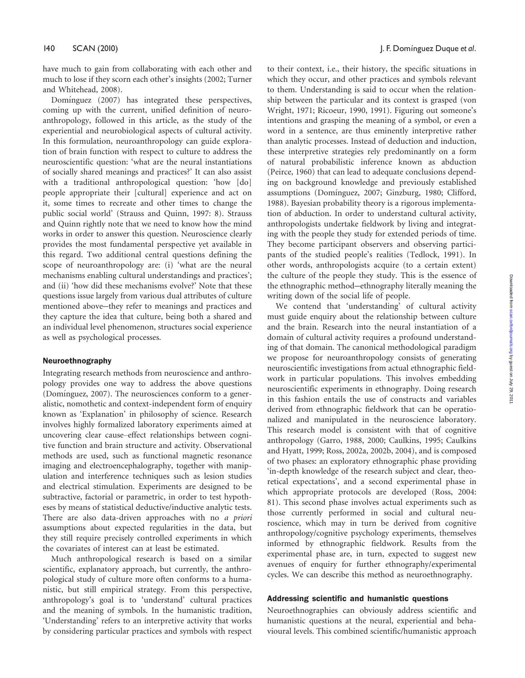have much to gain from collaborating with each other and much to lose if they scorn each other's insights (2002; Turner and Whitehead, 2008).

Domínguez (2007) has integrated these perspectives, coming up with the current, unified definition of neuroanthropology, followed in this article, as the study of the experiential and neurobiological aspects of cultural activity. In this formulation, neuroanthropology can guide exploration of brain function with respect to culture to address the neuroscientific question: 'what are the neural instantiations of socially shared meanings and practices?' It can also assist with a traditional anthropological question: 'how [do] people appropriate their [cultural] experience and act on it, some times to recreate and other times to change the public social world' (Strauss and Quinn, 1997: 8). Strauss and Quinn rightly note that we need to know how the mind works in order to answer this question. Neuroscience clearly provides the most fundamental perspective yet available in this regard. Two additional central questions defining the scope of neuroanthropology are: (i) 'what are the neural mechanisms enabling cultural understandings and practices'; and (ii) 'how did these mechanisms evolve?' Note that these questions issue largely from various dual attributes of culture mentioned above-they refer to meanings and practices and they capture the idea that culture, being both a shared and an individual level phenomenon, structures social experience as well as psychological processes.

#### Neuroethnography

Integrating research methods from neuroscience and anthropology provides one way to address the above questions (Domínguez, 2007). The neurosciences conform to a generalistic, nomothetic and context-independent form of enquiry known as 'Explanation' in philosophy of science. Research involves highly formalized laboratory experiments aimed at uncovering clear cause–effect relationships between cognitive function and brain structure and activity. Observational methods are used, such as functional magnetic resonance imaging and electroencephalography, together with manipulation and interference techniques such as lesion studies and electrical stimulation. Experiments are designed to be subtractive, factorial or parametric, in order to test hypotheses by means of statistical deductive/inductive analytic tests. There are also data-driven approaches with no a priori assumptions about expected regularities in the data, but they still require precisely controlled experiments in which the covariates of interest can at least be estimated.

Much anthropological research is based on a similar scientific, explanatory approach, but currently, the anthropological study of culture more often conforms to a humanistic, but still empirical strategy. From this perspective, anthropology's goal is to 'understand' cultural practices and the meaning of symbols. In the humanistic tradition, 'Understanding' refers to an interpretive activity that works by considering particular practices and symbols with respect to their context, i.e., their history, the specific situations in which they occur, and other practices and symbols relevant to them. Understanding is said to occur when the relationship between the particular and its context is grasped (von Wright, 1971; Ricoeur, 1990, 1991). Figuring out someone's intentions and grasping the meaning of a symbol, or even a word in a sentence, are thus eminently interpretive rather than analytic processes. Instead of deduction and induction, these interpretive strategies rely predominantly on a form of natural probabilistic inference known as abduction (Peirce, 1960) that can lead to adequate conclusions depending on background knowledge and previously established assumptions (Domínguez, 2007; Ginzburg, 1980; Clifford, 1988). Bayesian probability theory is a rigorous implementation of abduction. In order to understand cultural activity, anthropologists undertake fieldwork by living and integrating with the people they study for extended periods of time. They become participant observers and observing participants of the studied people's realities (Tedlock, 1991). In other words, anthropologists acquire (to a certain extent) the culture of the people they study. This is the essence of the ethnographic method-ethnography literally meaning the writing down of the social life of people.

We contend that 'understanding' of cultural activity must guide enquiry about the relationship between culture and the brain. Research into the neural instantiation of a domain of cultural activity requires a profound understanding of that domain. The canonical methodological paradigm we propose for neuroanthropology consists of generating neuroscientific investigations from actual ethnographic fieldwork in particular populations. This involves embedding neuroscientific experiments in ethnography. Doing research in this fashion entails the use of constructs and variables derived from ethnographic fieldwork that can be operationalized and manipulated in the neuroscience laboratory. This research model is consistent with that of cognitive anthropology (Garro, 1988, 2000; Caulkins, 1995; Caulkins and Hyatt, 1999; Ross, 2002a, 2002b, 2004), and is composed of two phases: an exploratory ethnographic phase providing 'in-depth knowledge of the research subject and clear, theoretical expectations', and a second experimental phase in which appropriate protocols are developed (Ross, 2004: 81). This second phase involves actual experiments such as those currently performed in social and cultural neuroscience, which may in turn be derived from cognitive anthropology/cognitive psychology experiments, themselves informed by ethnographic fieldwork. Results from the experimental phase are, in turn, expected to suggest new avenues of enquiry for further ethnography/experimental cycles. We can describe this method as neuroethnography.

#### Addressing scientific and humanistic questions

Neuroethnographies can obviously address scientific and humanistic questions at the neural, experiential and behavioural levels. This combined scientific/humanistic approach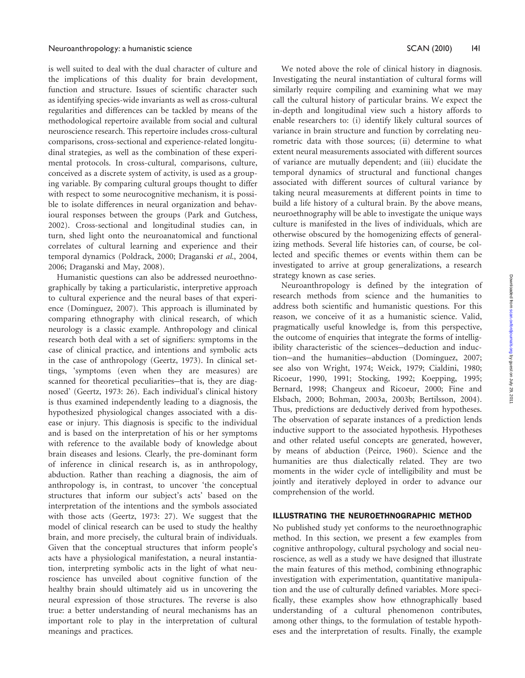is well suited to deal with the dual character of culture and the implications of this duality for brain development, function and structure. Issues of scientific character such as identifying species-wide invariants as well as cross-cultural regularities and differences can be tackled by means of the methodological repertoire available from social and cultural neuroscience research. This repertoire includes cross-cultural comparisons, cross-sectional and experience-related longitudinal strategies, as well as the combination of these experimental protocols. In cross-cultural, comparisons, culture, conceived as a discrete system of activity, is used as a grouping variable. By comparing cultural groups thought to differ with respect to some neurocognitive mechanism, it is possible to isolate differences in neural organization and behavioural responses between the groups (Park and Gutchess, 2002). Cross-sectional and longitudinal studies can, in turn, shed light onto the neuroanatomical and functional correlates of cultural learning and experience and their temporal dynamics (Poldrack, 2000; Draganski et al., 2004, 2006; Draganski and May, 2008).

Humanistic questions can also be addressed neuroethnographically by taking a particularistic, interpretive approach to cultural experience and the neural bases of that experience (Domínguez, 2007). This approach is illuminated by comparing ethnography with clinical research, of which neurology is a classic example. Anthropology and clinical research both deal with a set of signifiers: symptoms in the case of clinical practice, and intentions and symbolic acts in the case of anthropology (Geertz, 1973). In clinical settings, 'symptoms (even when they are measures) are scanned for theoretical peculiarities-that is, they are diagnosed' (Geertz, 1973: 26). Each individual's clinical history is thus examined independently leading to a diagnosis, the hypothesized physiological changes associated with a disease or injury. This diagnosis is specific to the individual and is based on the interpretation of his or her symptoms with reference to the available body of knowledge about brain diseases and lesions. Clearly, the pre-dominant form of inference in clinical research is, as in anthropology, abduction. Rather than reaching a diagnosis, the aim of anthropology is, in contrast, to uncover 'the conceptual structures that inform our subject's acts' based on the interpretation of the intentions and the symbols associated with those acts (Geertz, 1973: 27). We suggest that the model of clinical research can be used to study the healthy brain, and more precisely, the cultural brain of individuals. Given that the conceptual structures that inform people's acts have a physiological manifestation, a neural instantiation, interpreting symbolic acts in the light of what neuroscience has unveiled about cognitive function of the healthy brain should ultimately aid us in uncovering the neural expression of those structures. The reverse is also true: a better understanding of neural mechanisms has an important role to play in the interpretation of cultural meanings and practices.

We noted above the role of clinical history in diagnosis. Investigating the neural instantiation of cultural forms will similarly require compiling and examining what we may call the cultural history of particular brains. We expect the in-depth and longitudinal view such a history affords to enable researchers to: (i) identify likely cultural sources of variance in brain structure and function by correlating neurometric data with those sources; (ii) determine to what extent neural measurements associated with different sources of variance are mutually dependent; and (iii) elucidate the temporal dynamics of structural and functional changes associated with different sources of cultural variance by taking neural measurements at different points in time to build a life history of a cultural brain. By the above means, neuroethnography will be able to investigate the unique ways culture is manifested in the lives of individuals, which are otherwise obscured by the homogenizing effects of generalizing methods. Several life histories can, of course, be collected and specific themes or events within them can be investigated to arrive at group generalizations, a research strategy known as case series.

Neuroanthropology is defined by the integration of research methods from science and the humanities to address both scientific and humanistic questions. For this reason, we conceive of it as a humanistic science. Valid, pragmatically useful knowledge is, from this perspective, the outcome of enquiries that integrate the forms of intelligibility characteristic of the sciences-deduction and induction-and the humanities-abduction (Domínguez, 2007; see also von Wright, 1974; Weick, 1979; Cialdini, 1980; Ricoeur, 1990, 1991; Stocking, 1992; Koepping, 1995; Bernard, 1998; Changeux and Ricoeur, 2000; Fine and Elsbach, 2000; Bohman, 2003a, 2003b; Bertilsson, 2004). Thus, predictions are deductively derived from hypotheses. The observation of separate instances of a prediction lends inductive support to the associated hypothesis. Hypotheses and other related useful concepts are generated, however, by means of abduction (Peirce, 1960). Science and the humanities are thus dialectically related. They are two moments in the wider cycle of intelligibility and must be jointly and iteratively deployed in order to advance our comprehension of the world.

# ILLUSTRATING THE NEUROETHNOGRAPHIC METHOD

No published study yet conforms to the neuroethnographic method. In this section, we present a few examples from cognitive anthropology, cultural psychology and social neuroscience, as well as a study we have designed that illustrate the main features of this method, combining ethnographic investigation with experimentation, quantitative manipulation and the use of culturally defined variables. More specifically, these examples show how ethnographically based understanding of a cultural phenomenon contributes, among other things, to the formulation of testable hypotheses and the interpretation of results. Finally, the example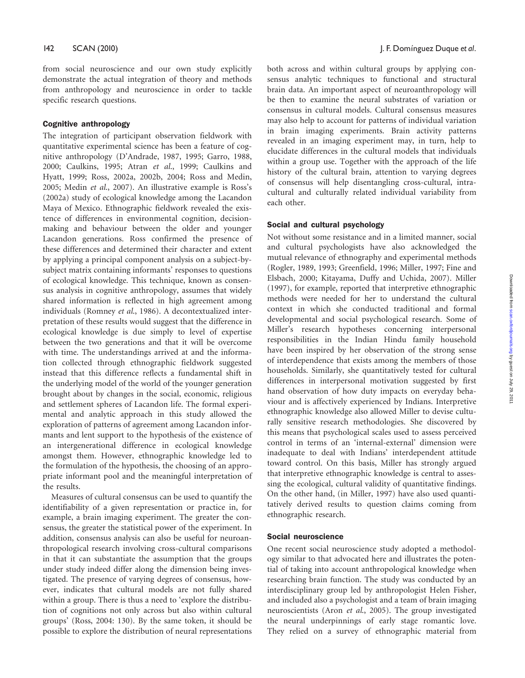from social neuroscience and our own study explicitly demonstrate the actual integration of theory and methods from anthropology and neuroscience in order to tackle specific research questions.

#### Cognitive anthropology

The integration of participant observation fieldwork with quantitative experimental science has been a feature of cognitive anthropology (D'Andrade, 1987, 1995; Garro, 1988, 2000; Caulkins, 1995; Atran et al., 1999; Caulkins and Hyatt, 1999; Ross, 2002a, 2002b, 2004; Ross and Medin, 2005; Medin et al., 2007). An illustrative example is Ross's (2002a) study of ecological knowledge among the Lacandon Maya of Mexico. Ethnographic fieldwork revealed the existence of differences in environmental cognition, decisionmaking and behaviour between the older and younger Lacandon generations. Ross confirmed the presence of these differences and determined their character and extent by applying a principal component analysis on a subject-bysubject matrix containing informants' responses to questions of ecological knowledge. This technique, known as consensus analysis in cognitive anthropology, assumes that widely shared information is reflected in high agreement among individuals (Romney et al., 1986). A decontextualized interpretation of these results would suggest that the difference in ecological knowledge is due simply to level of expertise between the two generations and that it will be overcome with time. The understandings arrived at and the information collected through ethnographic fieldwork suggested instead that this difference reflects a fundamental shift in the underlying model of the world of the younger generation brought about by changes in the social, economic, religious and settlement spheres of Lacandon life. The formal experimental and analytic approach in this study allowed the exploration of patterns of agreement among Lacandon informants and lent support to the hypothesis of the existence of an intergenerational difference in ecological knowledge amongst them. However, ethnographic knowledge led to the formulation of the hypothesis, the choosing of an appropriate informant pool and the meaningful interpretation of the results.

Measures of cultural consensus can be used to quantify the identifiability of a given representation or practice in, for example, a brain imaging experiment. The greater the consensus, the greater the statistical power of the experiment. In addition, consensus analysis can also be useful for neuroanthropological research involving cross-cultural comparisons in that it can substantiate the assumption that the groups under study indeed differ along the dimension being investigated. The presence of varying degrees of consensus, however, indicates that cultural models are not fully shared within a group. There is thus a need to 'explore the distribution of cognitions not only across but also within cultural groups' (Ross, 2004: 130). By the same token, it should be possible to explore the distribution of neural representations

both across and within cultural groups by applying consensus analytic techniques to functional and structural brain data. An important aspect of neuroanthropology will be then to examine the neural substrates of variation or consensus in cultural models. Cultural consensus measures may also help to account for patterns of individual variation in brain imaging experiments. Brain activity patterns revealed in an imaging experiment may, in turn, help to elucidate differences in the cultural models that individuals within a group use. Together with the approach of the life history of the cultural brain, attention to varying degrees of consensus will help disentangling cross-cultural, intracultural and culturally related individual variability from each other.

#### Social and cultural psychology

Not without some resistance and in a limited manner, social and cultural psychologists have also acknowledged the mutual relevance of ethnography and experimental methods (Rogler, 1989, 1993; Greenfield, 1996; Miller, 1997; Fine and Elsbach, 2000; Kitayama, Duffy and Uchida, 2007). Miller (1997), for example, reported that interpretive ethnographic methods were needed for her to understand the cultural context in which she conducted traditional and formal developmental and social psychological research. Some of Miller's research hypotheses concerning interpersonal responsibilities in the Indian Hindu family household have been inspired by her observation of the strong sense of interdependence that exists among the members of those households. Similarly, she quantitatively tested for cultural differences in interpersonal motivation suggested by first hand observation of how duty impacts on everyday behaviour and is affectively experienced by Indians. Interpretive ethnographic knowledge also allowed Miller to devise culturally sensitive research methodologies. She discovered by this means that psychological scales used to assess perceived control in terms of an 'internal-external' dimension were inadequate to deal with Indians' interdependent attitude toward control. On this basis, Miller has strongly argued that interpretive ethnographic knowledge is central to assessing the ecological, cultural validity of quantitative findings. On the other hand, (in Miller, 1997) have also used quantitatively derived results to question claims coming from ethnographic research.

#### Social neuroscience

One recent social neuroscience study adopted a methodology similar to that advocated here and illustrates the potential of taking into account anthropological knowledge when researching brain function. The study was conducted by an interdisciplinary group led by anthropologist Helen Fisher, and included also a psychologist and a team of brain imaging neuroscientists (Aron et al., 2005). The group investigated the neural underpinnings of early stage romantic love. They relied on a survey of ethnographic material from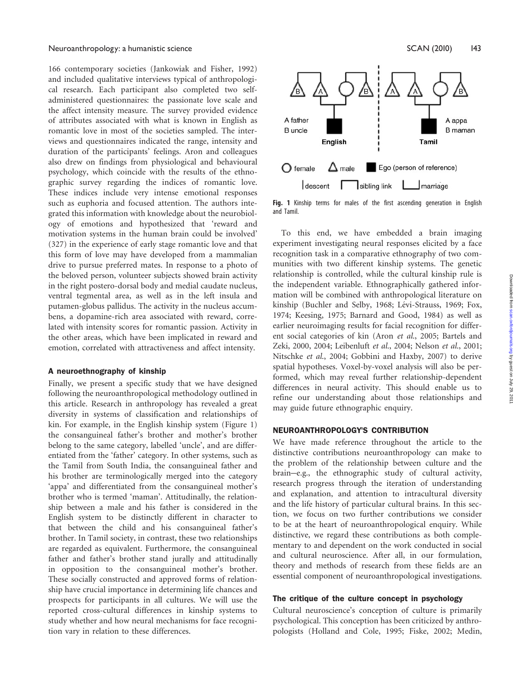166 contemporary societies (Jankowiak and Fisher, 1992) and included qualitative interviews typical of anthropological research. Each participant also completed two selfadministered questionnaires: the passionate love scale and the affect intensity measure. The survey provided evidence of attributes associated with what is known in English as romantic love in most of the societies sampled. The interviews and questionnaires indicated the range, intensity and duration of the participants' feelings. Aron and colleagues also drew on findings from physiological and behavioural psychology, which coincide with the results of the ethnographic survey regarding the indices of romantic love. These indices include very intense emotional responses such as euphoria and focused attention. The authors integrated this information with knowledge about the neurobiology of emotions and hypothesized that 'reward and motivation systems in the human brain could be involved' (327) in the experience of early stage romantic love and that this form of love may have developed from a mammalian drive to pursue preferred mates. In response to a photo of the beloved person, volunteer subjects showed brain activity in the right postero-dorsal body and medial caudate nucleus, ventral tegmental area, as well as in the left insula and putamen-globus pallidus. The activity in the nucleus accumbens, a dopamine-rich area associated with reward, correlated with intensity scores for romantic passion. Activity in the other areas, which have been implicated in reward and emotion, correlated with attractiveness and affect intensity.

#### A neuroethnography of kinship

Finally, we present a specific study that we have designed following the neuroanthropological methodology outlined in this article. Research in anthropology has revealed a great diversity in systems of classification and relationships of kin. For example, in the English kinship system (Figure 1) the consanguineal father's brother and mother's brother belong to the same category, labelled 'uncle', and are differentiated from the 'father' category. In other systems, such as the Tamil from South India, the consanguineal father and his brother are terminologically merged into the category 'appa' and differentiated from the consanguineal mother's brother who is termed 'maman'. Attitudinally, the relationship between a male and his father is considered in the English system to be distinctly different in character to that between the child and his consanguineal father's brother. In Tamil society, in contrast, these two relationships are regarded as equivalent. Furthermore, the consanguineal father and father's brother stand jurally and attitudinally in opposition to the consanguineal mother's brother. These socially constructed and approved forms of relationship have crucial importance in determining life chances and prospects for participants in all cultures. We will use the reported cross-cultural differences in kinship systems to study whether and how neural mechanisms for face recognition vary in relation to these differences.



Fig. 1 Kinship terms for males of the first ascending generation in English and Tamil.

To this end, we have embedded a brain imaging experiment investigating neural responses elicited by a face recognition task in a comparative ethnography of two communities with two different kinship systems. The genetic relationship is controlled, while the cultural kinship rule is the independent variable. Ethnographically gathered information will be combined with anthropological literature on kinship (Buchler and Selby, 1968; Lévi-Strauss, 1969; Fox, 1974; Keesing, 1975; Barnard and Good, 1984) as well as earlier neuroimaging results for facial recognition for different social categories of kin (Aron et al., 2005; Bartels and Zeki, 2000, 2004; Leibenluft et al., 2004; Nelson et al., 2001; Nitschke et al., 2004; Gobbini and Haxby, 2007) to derive spatial hypotheses. Voxel-by-voxel analysis will also be performed, which may reveal further relationship-dependent differences in neural activity. This should enable us to refine our understanding about those relationships and may guide future ethnographic enquiry.

# NEUROANTHROPOLOGY'S CONTRIBUTION

We have made reference throughout the article to the distinctive contributions neuroanthropology can make to the problem of the relationship between culture and the brain-e.g., the ethnographic study of cultural activity, research progress through the iteration of understanding and explanation, and attention to intracultural diversity and the life history of particular cultural brains. In this section, we focus on two further contributions we consider to be at the heart of neuroanthropological enquiry. While distinctive, we regard these contributions as both complementary to and dependent on the work conducted in social and cultural neuroscience. After all, in our formulation, theory and methods of research from these fields are an essential component of neuroanthropological investigations.

#### The critique of the culture concept in psychology

Cultural neuroscience's conception of culture is primarily psychological. This conception has been criticized by anthropologists (Holland and Cole, 1995; Fiske, 2002; Medin,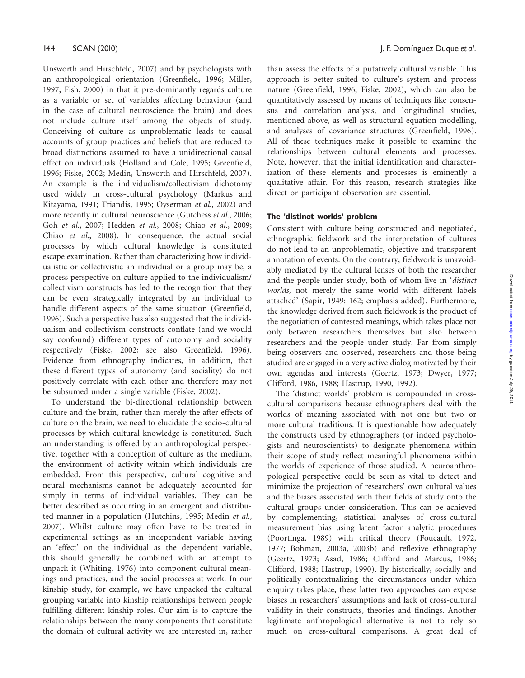Unsworth and Hirschfeld, 2007) and by psychologists with an anthropological orientation (Greenfield, 1996; Miller, 1997; Fish, 2000) in that it pre-dominantly regards culture as a variable or set of variables affecting behaviour (and in the case of cultural neuroscience the brain) and does not include culture itself among the objects of study. Conceiving of culture as unproblematic leads to causal accounts of group practices and beliefs that are reduced to broad distinctions assumed to have a unidirectional causal effect on individuals (Holland and Cole, 1995; Greenfield, 1996; Fiske, 2002; Medin, Unsworth and Hirschfeld, 2007). An example is the individualism/collectivism dichotomy used widely in cross-cultural psychology (Markus and Kitayama, 1991; Triandis, 1995; Oyserman et al., 2002) and more recently in cultural neuroscience (Gutchess et al., 2006; Goh et al., 2007; Hedden et al., 2008; Chiao et al., 2009; Chiao et al., 2008). In consequence, the actual social processes by which cultural knowledge is constituted escape examination. Rather than characterizing how individualistic or collectivistic an individual or a group may be, a process perspective on culture applied to the individualism/ collectivism constructs has led to the recognition that they can be even strategically integrated by an individual to handle different aspects of the same situation (Greenfield, 1996). Such a perspective has also suggested that the individualism and collectivism constructs conflate (and we would say confound) different types of autonomy and sociality respectively (Fiske, 2002; see also Greenfield, 1996). Evidence from ethnography indicates, in addition, that these different types of autonomy (and sociality) do not positively correlate with each other and therefore may not be subsumed under a single variable (Fiske, 2002).

To understand the bi-directional relationship between culture and the brain, rather than merely the after effects of culture on the brain, we need to elucidate the socio-cultural processes by which cultural knowledge is constituted. Such an understanding is offered by an anthropological perspective, together with a conception of culture as the medium, the environment of activity within which individuals are embedded. From this perspective, cultural cognitive and neural mechanisms cannot be adequately accounted for simply in terms of individual variables. They can be better described as occurring in an emergent and distributed manner in a population (Hutchins, 1995; Medin et al., 2007). Whilst culture may often have to be treated in experimental settings as an independent variable having an 'effect' on the individual as the dependent variable, this should generally be combined with an attempt to unpack it (Whiting, 1976) into component cultural meanings and practices, and the social processes at work. In our kinship study, for example, we have unpacked the cultural grouping variable into kinship relationships between people fulfilling different kinship roles. Our aim is to capture the relationships between the many components that constitute the domain of cultural activity we are interested in, rather

than assess the effects of a putatively cultural variable. This approach is better suited to culture's system and process nature (Greenfield, 1996; Fiske, 2002), which can also be quantitatively assessed by means of techniques like consensus and correlation analysis, and longitudinal studies, mentioned above, as well as structural equation modelling, and analyses of covariance structures (Greenfield, 1996). All of these techniques make it possible to examine the relationships between cultural elements and processes. Note, however, that the initial identification and characterization of these elements and processes is eminently a qualitative affair. For this reason, research strategies like direct or participant observation are essential.

# The 'distinct worlds' problem

Consistent with culture being constructed and negotiated, ethnographic fieldwork and the interpretation of cultures do not lead to an unproblematic, objective and transparent annotation of events. On the contrary, fieldwork is unavoidably mediated by the cultural lenses of both the researcher and the people under study, both of whom live in 'distinct worlds, not merely the same world with different labels attached' (Sapir, 1949: 162; emphasis added). Furthermore, the knowledge derived from such fieldwork is the product of the negotiation of contested meanings, which takes place not only between researchers themselves but also between researchers and the people under study. Far from simply being observers and observed, researchers and those being studied are engaged in a very active dialog motivated by their own agendas and interests (Geertz, 1973; Dwyer, 1977; Clifford, 1986, 1988; Hastrup, 1990, 1992).

The 'distinct worlds' problem is compounded in crosscultural comparisons because ethnographers deal with the worlds of meaning associated with not one but two or more cultural traditions. It is questionable how adequately the constructs used by ethnographers (or indeed psychologists and neuroscientists) to designate phenomena within their scope of study reflect meaningful phenomena within the worlds of experience of those studied. A neuroanthropological perspective could be seen as vital to detect and minimize the projection of researchers' own cultural values and the biases associated with their fields of study onto the cultural groups under consideration. This can be achieved by complementing, statistical analyses of cross-cultural measurement bias using latent factor analytic procedures (Poortinga, 1989) with critical theory (Foucault, 1972, 1977; Bohman, 2003a, 2003b) and reflexive ethnography (Geertz, 1973; Asad, 1986; Clifford and Marcus, 1986; Clifford, 1988; Hastrup, 1990). By historically, socially and politically contextualizing the circumstances under which enquiry takes place, these latter two approaches can expose biases in researchers' assumptions and lack of cross-cultural validity in their constructs, theories and findings. Another legitimate anthropological alternative is not to rely so much on cross-cultural comparisons. A great deal of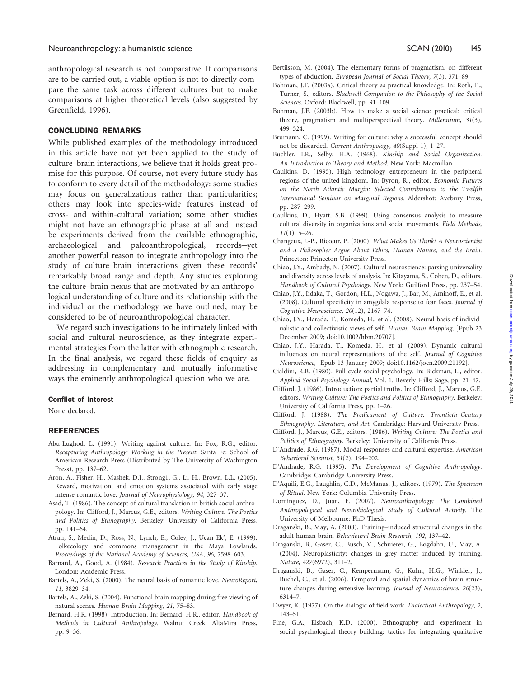anthropological research is not comparative. If comparisons are to be carried out, a viable option is not to directly compare the same task across different cultures but to make comparisons at higher theoretical levels (also suggested by Greenfield, 1996).

#### CONCLUDING REMARKS

While published examples of the methodology introduced in this article have not yet been applied to the study of culture–brain interactions, we believe that it holds great promise for this purpose. Of course, not every future study has to conform to every detail of the methodology: some studies may focus on generalizations rather than particularities; others may look into species-wide features instead of cross- and within-cultural variation; some other studies might not have an ethnographic phase at all and instead be experiments derived from the available ethnographic, archaeological and paleoanthropological, records-yet another powerful reason to integrate anthropology into the study of culture–brain interactions given these records' remarkably broad range and depth. Any studies exploring the culture–brain nexus that are motivated by an anthropological understanding of culture and its relationship with the individual or the methodology we have outlined, may be considered to be of neuroanthropological character.

We regard such investigations to be intimately linked with social and cultural neuroscience, as they integrate experimental strategies from the latter with ethnographic research. In the final analysis, we regard these fields of enquiry as addressing in complementary and mutually informative ways the eminently anthropological question who we are.

#### Conflict of Interest

None declared.

#### REFERENCES

- Abu-Lughod, L. (1991). Writing against culture. In: Fox, R.G., editor. Recapturing Anthropology: Working in the Present. Santa Fe: School of American Research Press (Distributed by The University of Washington Press), pp. 137–62.
- Aron, A., Fisher, H., Mashek, D.J., Strong1, G., Li, H., Brown, L.L. (2005). Reward, motivation, and emotion systems associated with early stage intense romantic love. Journal of Neurophysiology, 94, 327–37.
- Asad, T. (1986). The concept of cultural translation in british social anthropology. In: Clifford, J., Marcus, G.E., editors. Writing Culture. The Poetics and Politics of Ethnography. Berkeley: University of California Press, pp. 141–64.
- Atran, S., Medin, D., Ross, N., Lynch, E., Coley, J., Ucan Ek', E. (1999). Folkecology and commons management in the Maya Lowlands. Proceedings of the National Academy of Sciences, USA, 96, 7598–603.
- Barnard, A., Good, A. (1984). Research Practices in the Study of Kinship. London: Academic Press.
- Bartels, A., Zeki, S. (2000). The neural basis of romantic love. NeuroReport, 11, 3829–34.
- Bartels, A., Zeki, S. (2004). Functional brain mapping during free viewing of natural scenes. Human Brain Mapping, 21, 75–83.
- Bernard, H.R. (1998). Introduction. In: Bernard, H.R., editor. Handbook of Methods in Cultural Anthropology. Walnut Creek: AltaMira Press, pp. 9–36.
- Bertilsson, M. (2004). The elementary forms of pragmatism. on different types of abduction. European Journal of Social Theory, 7(3), 371–89.
- Bohman, J.F. (2003a). Critical theory as practical knowledge. In: Roth, P., Turner, S., editors. Blackwell Companion to the Philosophy of the Social Sciences. Oxford: Blackwell, pp. 91–109.
- Bohman, J.F. (2003b). How to make a social science practical: critical theory, pragmatism and multiperspectival theory. Millennium, 31(3), 499–524.
- Brumann, C. (1999). Writing for culture: why a successful concept should not be discarded. Current Anthropology, 40(Suppl 1), 1–27.
- Buchler, I.R., Selby, H.A. (1968). Kinship and Social Organization. An Introduction to Theory and Method. New York: Macmillan.
- Caulkins, D. (1995). High technology entrepreneurs in the peripheral regions of the united kingdom. In: Byron, R., editor. Economic Futures on the North Atlantic Margin: Selected Contributions to the Twelfth International Seminar on Marginal Regions. Aldershot: Avebury Press, pp. 287–299.
- Caulkins, D., Hyatt, S.B. (1999). Using consensus analysis to measure cultural diversity in organizations and social movements. Field Methods,  $11(1), 5-26.$
- Changeux, J.-P., Ricœur, P. (2000). What Makes Us Think? A Neuroscientist and a Philosopher Argue About Ethics, Human Nature, and the Brain. Princeton: Princeton University Press.
- Chiao, J.Y., Ambady, N. (2007). Cultural neuroscience: parsing universality and diversity across levels of analysis. In: Kitayama, S., Cohen, D., editors. Handbook of Cultural Psychology. New York: Guilford Press, pp. 237–54.
- Chiao, J.Y., Iidaka, T., Gordon, H.L., Nogawa, J., Bar, M., Aminoff, E., et al. (2008). Cultural specificity in amygdala response to fear faces. Journal of Cognitive Neuroscience, 20(12), 2167–74.
- Chiao, J.Y., Harada, T., Komeda, H., et al. (2008). Neural basis of individualistic and collectivistic views of self. Human Brain Mapping, [Epub 23 December 2009; doi:10.1002/hbm.20707].
- Chiao, J.Y., Harada, T., Komeda, H., et al. (2009). Dynamic cultural influences on neural representations of the self. Journal of Cognitive Neuroscience, [Epub 13 January 2009; doi:10.1162/jocn.2009.21192].
- Cialdini, R.B. (1980). Full-cycle social psychology. In: Bickman, L., editor. Applied Social Psychology Annual, Vol. 1. Beverly Hills: Sage, pp. 21–47.
- Clifford, J. (1986). Introduction: partial truths. In: Clifford, J., Marcus, G.E. editors. Writing Culture: The Poetics and Politics of Ethnography. Berkeley: University of California Press, pp. 1–26.
- Clifford, J. (1988). The Predicament of Culture: Twentieth–Century Ethnography, Literature, and Art. Cambridge: Harvard University Press.
- Clifford, J., Marcus, G.E., editors. (1986). Writing Culture: The Poetics and Politics of Ethnography. Berkeley: University of California Press.
- D'Andrade, R.G. (1987). Modal responses and cultural expertise. American Behavioral Scientist, 31(2), 194–202.
- D'Andrade, R.G. (1995). The Development of Cognitive Anthropology. Cambridge: Cambridge University Press.
- D'Aquili, E.G., Laughlin, C.D., McManus, J., editors. (1979). The Spectrum of Ritual. New York: Columbia University Press.
- Dominguez, D., Juan, F. (2007). Neuroanthropology: The Combined Anthropological and Neurobiological Study of Cultural Activity. The University of Melbourne: PhD Thesis.
- Draganski, B., May, A. (2008). Training–induced structural changes in the adult human brain. Behavioural Brain Research, 192, 137–42.
- Draganski, B., Gaser, C., Busch, V., Schuierer, G., Bogdahn, U., May, A. (2004). Neuroplasticity: changes in grey matter induced by training. Nature, 427(6972), 311–2.
- Draganski, B., Gaser, C., Kempermann, G., Kuhn, H.G., Winkler, J., Buchel, C., et al. (2006). Temporal and spatial dynamics of brain structure changes during extensive learning. Journal of Neuroscience, 26(23), 6314–7.
- Dwyer, K. (1977). On the dialogic of field work. Dialectical Anthropology, 2, 143–51.
- Fine, G.A., Elsbach, K.D. (2000). Ethnography and experiment in social psychological theory building: tactics for integrating qualitative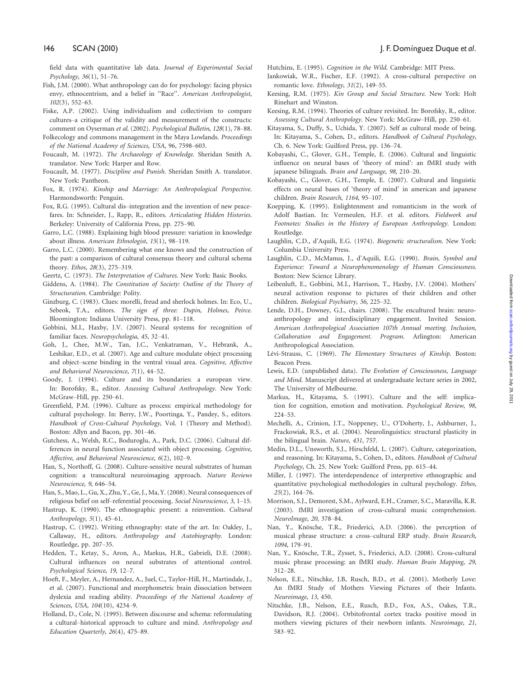field data with quantitative lab data. Journal of Experimental Social Psychology, 36(1), 51–76.

- Fish, J.M. (2000). What anthropology can do for psychology: facing physics envy, ethnocentrism, and a belief in ''Race''. American Anthropologist, 102(3), 552–63.
- Fiske, A.P. (2002). Using individualism and collectivism to compare cultures–a critique of the validity and measurement of the constructs: comment on Oyserman et al. (2002). Psychological Bulletin, 128(1), 78–88.
- Folkecology and commons management in the Maya Lowlands. Proceedings of the National Academy of Sciences, USA, 96, 7598–603.
- Foucault, M. (1972). The Archaeology of Knowledge. Sheridan Smith A. translator. New York: Harper and Row.
- Foucault, M. (1977). Discipline and Punish. Sheridan Smith A. translator. New York: Pantheon.
- Fox, R. (1974). Kinship and Marriage: An Anthropological Perspective. Harmondsworth: Penguin.
- Fox, R.G. (1995). Cultural dis–integration and the invention of new peacefares. In: Schneider, J., Rapp, R., editors. Articulating Hidden Histories. Berkeley: University of California Press, pp. 275–90.
- Garro, L.C. (1988). Explaining high blood pressure: variation in knowledge about illness. American Ethnologist, 15(1), 98–119.
- Garro, L.C. (2000). Remembering what one knows and the construction of the past: a comparison of cultural consensus theory and cultural schema theory. Ethos, 28(3), 275–319.
- Geertz, C. (1973). The Interpretation of Cultures. New York: Basic Books.
- Giddens, A. (1984). The Constitution of Society: Outline of the Theory of Structuration. Cambridge: Polity.
- Ginzburg, C. (1983). Clues: morelli, freud and sherlock holmes. In: Eco, U., Sebeok, T.A., editors. The sign of three: Dupin, Holmes, Peirce. Bloomington: Indiana University Press, pp. 81–118.
- Gobbini, M.I., Haxby, J.V. (2007). Neural systems for recognition of familiar faces. Neuropsychologia, 45, 32–41.
- Goh, J., Chee, M.W., Tan, J.C., Venkatraman, V., Hebrank, A., Leshikar, E.D., et al. (2007). Age and culture modulate object processing and object–scene binding in the ventral visual area. Cognitive, Affective and Behavioral Neuroscience, 7(1), 44–52.
- Goody, J. (1994). Culture and its boundaries: a european view. In: Borofsky, R., editor. Assessing Cultural Anthropology. New York: McGraw–Hill, pp. 250–61.
- Greenfield, P.M. (1996). Culture as process: empirical methodology for cultural psychology. In: Berry, J.W., Poortinga, Y., Pandey, S., editors. Handbook of Cross-Cultural Psychology, Vol. 1 (Theory and Method). Boston: Allyn and Bacon, pp. 301–46.
- Gutchess, A., Welsh, R.C., Boduroglu, A., Park, D.C. (2006). Cultural differences in neural function associated with object processing. Cognitive, Affective, and Behavioral Neuroscience, 6(2), 102–9.
- Han, S., Northoff, G. (2008). Culture-sensitive neural substrates of human cognition: a transcultural neuroimaging approach. Nature Reviews Neuroscience, 9, 646–54.
- Han, S., Mao, L., Gu, X., Zhu, Y., Ge, J., Ma, Y. (2008). Neural consequences of religious belief on self–referential processing. Social Neuroscience, 3, 1–15.
- Hastrup, K. (1990). The ethnographic present: a reinvention. Cultural Anthropology, 5(1), 45–61.
- Hastrup, C. (1992). Writing ethnography: state of the art. In: Oakley, J., Callaway, H., editors. Anthropology and Autobiography. London: Routledge, pp. 207–35.
- Hedden, T., Ketay, S., Aron, A., Markus, H.R., Gabrieli, D.E. (2008). Cultural influences on neural substrates of attentional control. Psychological Science, 19, 12–7.
- Hoeft, F., Meyler, A., Hernandez, A., Juel, C., Taylor-Hill, H., Martindale, J., et al. (2007). Functional and morphometric brain dissociation between dyslexia and reading ability. Proceedings of the National Academy of Sciences, USA, 104(10), 4234–9.
- Holland, D., Cole, N. (1995). Between discourse and schema: reformulating a cultural–historical approach to culture and mind. Anthropology and Education Quarterly, 26(4), 475–89.

Hutchins, E. (1995). Cognition in the Wild. Cambridge: MIT Press.

- Jankowiak, W.R., Fischer, E.F. (1992). A cross-cultural perspective on romantic love. Ethnology, 31(2), 149–55.
- Keesing, R.M. (1975). Kin Group and Social Structure. New York: Holt Rinehart and Winston.
- Keesing, R.M. (1994). Theories of culture revisited. In: Borofsky, R., editor. Assessing Cultural Anthropology. New York: McGraw–Hill, pp. 250–61.
- Kitayama, S., Duffy, S., Uchida, Y. (2007). Self as cultural mode of being. In: Kitayama, S., Cohen, D., editors. Handbook of Cultural Psychology, Ch. 6. New York: Guilford Press, pp. 136–74.
- Kobayashi, C., Glover, G.H., Temple, E. (2006). Cultural and linguistic influence on neural bases of 'theory of mind': an fMRI study with japanese bilinguals. Brain and Language, 98, 210–20.
- Kobayashi, C., Glover, G.H., Temple, E. (2007). Cultural and linguistic effects on neural bases of 'theory of mind' in american and japanese children. Brain Research, 1164, 95–107.
- Koepping, K. (1995). Enlightenment and romanticism in the work of Adolf Bastian. In: Vermeulen, H.F. et al. editors. Fieldwork and Footnotes: Studies in the History of European Anthropology. London: Routledge.
- Laughlin, C.D., d'Aquili, E.G. (1974). Biogenetic structuralism. New York: Columbia University Press.
- Laughlin, C.D., McManus, J., d'Aquili, E.G. (1990). Brain, Symbol and Experience: Toward a Neurophenomenology of Human Consciousness. Boston: New Science Library.
- Leibenluft, E., Gobbini, M.I., Harrison, T., Haxby, J.V. (2004). Mothers' neural activation response to pictures of their children and other children. Biological Psychiatry, 56, 225–32.
- Lende, D.H., Downey, G.J., chairs. (2008). The encultured brain: neuroanthropology and interdisciplinary engagement. Invited Session. American Anthropological Association 107th Annual meeting. Inclusion, Collaboration and Engagement. Program. Arlington: American Anthropological Association.
- Lévi-Strauss, C. (1969). The Elementary Structures of Kinship. Boston: Beacon Press.
- Lewis, E.D. (unpublished data). The Evolution of Consciousness, Language and Mind. Manuscript delivered at undergraduate lecture series in 2002, The University of Melbourne.
- Markus, H., Kitayama, S. (1991). Culture and the self: implication for cognition, emotion and motivation. Psychological Review, 98, 224–53.
- Mechelli, A., Crinion, J.T., Noppeney, U., O'Doherty, J., Ashburner, J., Frackowiak, R.S., et al. (2004). Neurolinguistics: structural plasticity in the bilingual brain. Nature, 431, 757.
- Medin, D.L., Unsworth, S.J., Hirschfeld, L. (2007). Culture, categorization, and reasoning. In: Kitayama, S., Cohen, D., editors. Handbook of Cultural Psychology, Ch. 25. New York: Guilford Press, pp. 615–44.
- Miller, J. (1997). The interdependence of interpretive ethnographic and quantitative psychological methodologies in cultural psychology. Ethos, 25(2), 164–76.
- Morrison, S.J., Demorest, S.M., Aylward, E.H., Cramer, S.C., Maravilla, K.R. (2003). fMRI investigation of cross-cultural music comprehension. NeuroImage, 20, 378–84.
- Nan, Y., Knösche, T.R., Friederici, A.D. (2006). the perception of musical phrase structure: a cross–cultural ERP study. Brain Research, 1094, 179–91.
- Nan, Y., Knösche, T.R., Zysset, S., Friederici, A.D. (2008). Cross-cultural music phrase processing: an fMRI study. Human Brain Mapping, 29, 312–28.
- Nelson, E.E., Nitschke, J.B, Rusch, B.D., et al. (2001). Motherly Love: An fMRI Study of Mothers Viewing Pictures of their Infants. Neuroimage, 13, 450.
- Nitschke, J.B., Nelson, E.E., Rusch, B.D., Fox, A.S., Oakes, T.R., Davidson, R.J. (2004). Orbitofrontal cortex tracks positive mood in mothers viewing pictures of their newborn infants. Neuroimage, 21, 583–92.